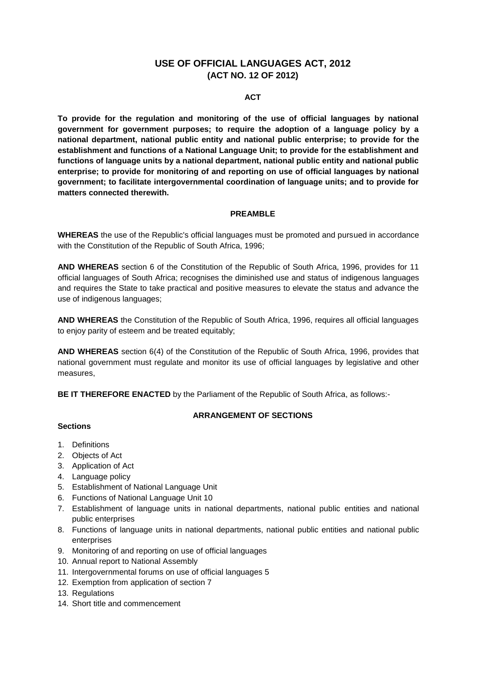# **USE OF OFFICIAL LANGUAGES ACT, 2012 (ACT NO. 12 OF 2012)**

#### **ACT**

**To provide for the regulation and monitoring of the use of official languages by national government for government purposes; to require the adoption of a language policy by a national department, national public entity and national public enterprise; to provide for the establishment and functions of a National Language Unit; to provide for the establishment and functions of language units by a national department, national public entity and national public enterprise; to provide for monitoring of and reporting on use of official languages by national government; to facilitate intergovernmental coordination of language units; and to provide for matters connected therewith.**

#### **PREAMBLE**

**WHEREAS** the use of the Republic's official languages must be promoted and pursued in accordance with the Constitution of the Republic of South Africa, 1996;

**AND WHEREAS** section 6 of the Constitution of the Republic of South Africa, 1996, provides for 11 official languages of South Africa; recognises the diminished use and status of indigenous languages and requires the State to take practical and positive measures to elevate the status and advance the use of indigenous languages;

**AND WHEREAS** the Constitution of the Republic of South Africa, 1996, requires all official languages to enjoy parity of esteem and be treated equitably;

**AND WHEREAS** section 6(4) of the Constitution of the Republic of South Africa, 1996, provides that national government must regulate and monitor its use of official languages by legislative and other measures,

**BE IT THEREFORE ENACTED** by the Parliament of the Republic of South Africa, as follows:-

#### **Sections**

# **ARRANGEMENT OF SECTIONS**

- 1. Definitions
- 2. Objects of Act
- 3. Application of Act
- 4. Language policy
- 5. Establishment of National Language Unit
- 6. Functions of National Language Unit 10
- 7. Establishment of language units in national departments, national public entities and national public enterprises
- 8. Functions of language units in national departments, national public entities and national public enterprises
- 9. Monitoring of and reporting on use of official languages
- 10. Annual report to National Assembly
- 11. Intergovernmental forums on use of official languages 5
- 12. Exemption from application of section 7
- 13. Regulations
- 14. Short title and commencement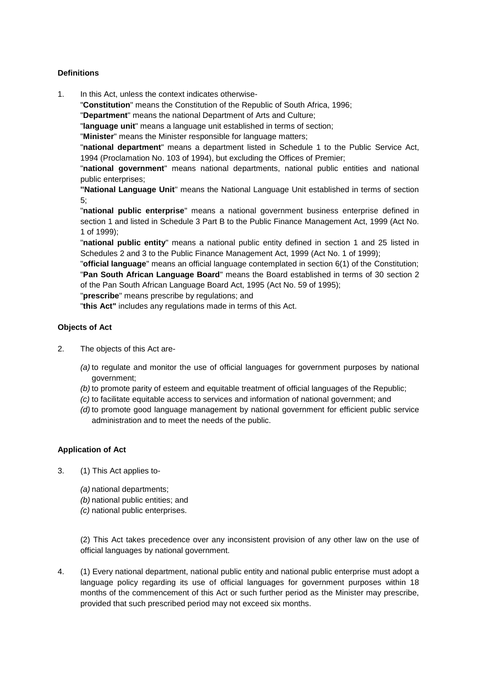# **Definitions**

1. In this Act, unless the context indicates otherwise-

"**Constitution**" means the Constitution of the Republic of South Africa, 1996;

"**Department**" means the national Department of Arts and Culture;

"**language unit**" means a language unit established in terms of section;

"**Minister**" means the Minister responsible for language matters;

"**national department**" means a department listed in Schedule 1 to the Public Service Act, 1994 (Proclamation No. 103 of 1994), but excluding the Offices of Premier;

"**national government**" means national departments, national public entities and national public enterprises;

**''National Language Unit**" means the National Language Unit established in terms of section 5;

"**national public enterprise**" means a national government business enterprise defined in section 1 and listed in Schedule 3 Part B to the Public Finance Management Act, 1999 (Act No. 1 of 1999);

"**national public entity**" means a national public entity defined in section 1 and 25 listed in Schedules 2 and 3 to the Public Finance Management Act, 1999 (Act No. 1 of 1999);

"**official language**" means an official language contemplated in section 6(1) of the Constitution; "**Pan South African Language Board**" means the Board established in terms of 30 section 2 of the Pan South African Language Board Act, 1995 (Act No. 59 of 1995);

"**prescribe**" means prescribe by regulations; and

"**this Act"** includes any regulations made in terms of this Act.

## **Objects of Act**

- 2. The objects of this Act are-
	- *(a)* to regulate and monitor the use of official languages for government purposes by national government;
	- *(b)* to promote parity of esteem and equitable treatment of official languages of the Republic;
	- *(c)* to facilitate equitable access to services and information of national government; and
	- *(d)* to promote good language management by national government for efficient public service administration and to meet the needs of the public.

## **Application of Act**

- 3. (1) This Act applies to-
	- *(a)* national departments;
	- *(b)* national public entities; and
	- *(c)* national public enterprises.

(2) This Act takes precedence over any inconsistent provision of any other law on the use of official languages by national government.

4. (1) Every national department, national public entity and national public enterprise must adopt a language policy regarding its use of official languages for government purposes within 18 months of the commencement of this Act or such further period as the Minister may prescribe, provided that such prescribed period may not exceed six months.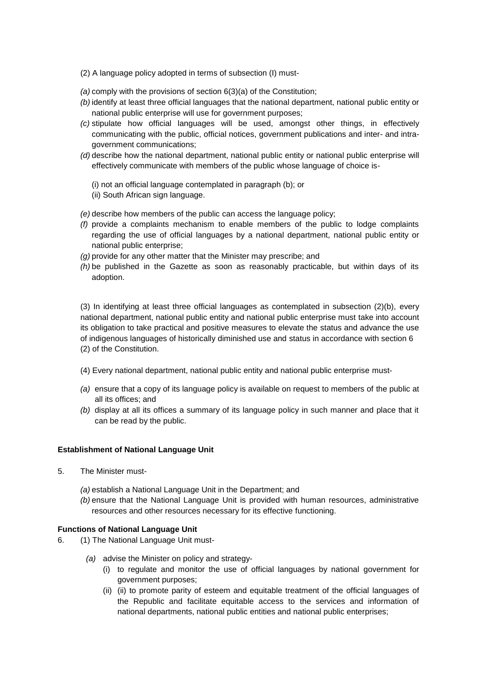- (2) A language policy adopted in terms of subsection (I) must-
- *(a)* comply with the provisions of section 6(3)(a) of the Constitution;
- *(b)* identify at least three official languages that the national department, national public entity or national public enterprise will use for government purposes;
- *(c)* stipulate how official languages will be used, amongst other things, in effectively communicating with the public, official notices, government publications and inter- and intragovernment communications;
- *(d)* describe how the national department, national public entity or national public enterprise will effectively communicate with members of the public whose language of choice is-
	- (i) not an official language contemplated in paragraph (b); or
	- (ii) South African sign language.
- *(e)* describe how members of the public can access the language policy;
- *(f)* provide a complaints mechanism to enable members of the public to lodge complaints regarding the use of official languages by a national department, national public entity or national public enterprise;
- *(g)* provide for any other matter that the Minister may prescribe; and
- *(h)* be published in the Gazette as soon as reasonably practicable, but within days of its adoption.

(3) In identifying at least three official languages as contemplated in subsection (2)(b), every national department, national public entity and national public enterprise must take into account its obligation to take practical and positive measures to elevate the status and advance the use of indigenous languages of historically diminished use and status in accordance with section 6 (2) of the Constitution.

- (4) Every national department, national public entity and national public enterprise must-
- *(a)* ensure that a copy of its language policy is available on request to members of the public at all its offices; and
- *(b)* display at all its offices a summary of its language policy in such manner and place that it can be read by the public.

#### **Establishment of National Language Unit**

- 5. The Minister must-
	- *(a)* establish a National Language Unit in the Department; and
	- *(b)* ensure that the National Language Unit is provided with human resources, administrative resources and other resources necessary for its effective functioning.

## **Functions of National Language Unit**

- 6. (1) The National Language Unit must-
	- *(a)* advise the Minister on policy and strategy-
		- (i) to regulate and monitor the use of official languages by national government for government purposes;
		- (ii) (ii) to promote parity of esteem and equitable treatment of the official languages of the Republic and facilitate equitable access to the services and information of national departments, national public entities and national public enterprises;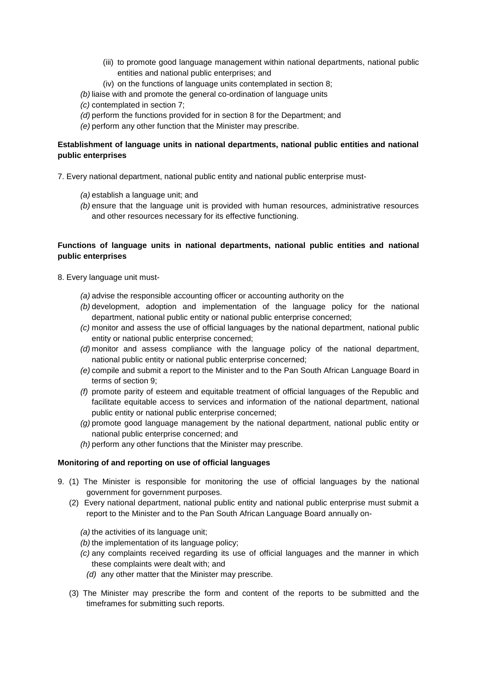- (iii) to promote good language management within national departments, national public entities and national public enterprises; and
- (iv) on the functions of language units contemplated in section 8;
- *(b)* liaise with and promote the general co-ordination of language units
- *(c)* contemplated in section 7;
- *(d)* perform the functions provided for in section 8 for the Department; and
- *(e)* perform any other function that the Minister may prescribe.

# **Establishment of language units in national departments, national public entities and national public enterprises**

7. Every national department, national public entity and national public enterprise must-

- *(a)* establish a language unit; and
- *(b)* ensure that the language unit is provided with human resources, administrative resources and other resources necessary for its effective functioning.

# **Functions of language units in national departments, national public entities and national public enterprises**

- 8. Every language unit must-
	- *(a)* advise the responsible accounting officer or accounting authority on the
	- *(b)* development, adoption and implementation of the language policy for the national department, national public entity or national public enterprise concerned;
	- *(c)* monitor and assess the use of official languages by the national department, national public entity or national public enterprise concerned;
	- *(d)* monitor and assess compliance with the language policy of the national department, national public entity or national public enterprise concerned;
	- *(e)* compile and submit a report to the Minister and to the Pan South African Language Board in terms of section 9;
	- *(f)* promote parity of esteem and equitable treatment of official languages of the Republic and facilitate equitable access to services and information of the national department, national public entity or national public enterprise concerned;
	- *(g)* promote good language management by the national department, national public entity or national public enterprise concerned; and
	- *(h)* perform any other functions that the Minister may prescribe.

#### **Monitoring of and reporting on use of official languages**

- 9. (1) The Minister is responsible for monitoring the use of official languages by the national government for government purposes.
	- (2) Every national department, national public entity and national public enterprise must submit a report to the Minister and to the Pan South African Language Board annually on-

*(a)* the activities of its language unit;

- *(b)* the implementation of its language policy;
- *(c)* any complaints received regarding its use of official languages and the manner in which these complaints were dealt with; and
- *(d)* any other matter that the Minister may prescribe.
- (3) The Minister may prescribe the form and content of the reports to be submitted and the timeframes for submitting such reports.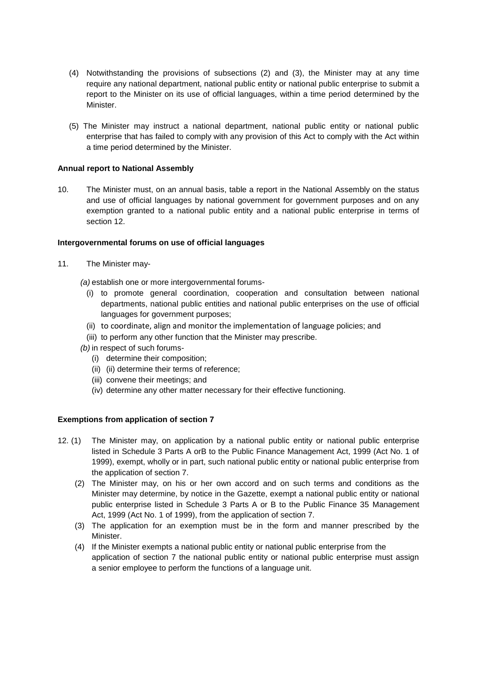- (4) Notwithstanding the provisions of subsections (2) and (3), the Minister may at any time require any national department, national public entity or national public enterprise to submit a report to the Minister on its use of official languages, within a time period determined by the Minister.
- (5) The Minister may instruct a national department, national public entity or national public enterprise that has failed to comply with any provision of this Act to comply with the Act within a time period determined by the Minister.

#### **Annual report to National Assembly**

10. The Minister must, on an annual basis, table a report in the National Assembly on the status and use of official languages by national government for government purposes and on any exemption granted to a national public entity and a national public enterprise in terms of section 12.

#### **Intergovernmental forums on use of official languages**

- 11. The Minister may-
	- *(a)* establish one or more intergovernmental forums-
		- (i) to promote general coordination, cooperation and consultation between national departments, national public entities and national public enterprises on the use of official languages for government purposes;
		- (ii) to coordinate, align and monitor the implementation of language policies; and
	- (iii) to perform any other function that the Minister may prescribe.
	- *(b)* in respect of such forums-
		- (i) determine their composition;
		- (ii) (ii) determine their terms of reference;
		- (iii) convene their meetings; and
		- (iv) determine any other matter necessary for their effective functioning.

## **Exemptions from application of section 7**

- 12. (1) The Minister may, on application by a national public entity or national public enterprise listed in Schedule 3 Parts A orB to the Public Finance Management Act, 1999 (Act No. 1 of 1999), exempt, wholly or in part, such national public entity or national public enterprise from the application of section 7.
	- (2) The Minister may, on his or her own accord and on such terms and conditions as the Minister may determine, by notice in the Gazette, exempt a national public entity or national public enterprise listed in Schedule 3 Parts A or B to the Public Finance 35 Management Act, 1999 (Act No. 1 of 1999), from the application of section 7.
	- (3) The application for an exemption must be in the form and manner prescribed by the Minister.
	- (4) If the Minister exempts a national public entity or national public enterprise from the application of section 7 the national public entity or national public enterprise must assign a senior employee to perform the functions of a language unit.